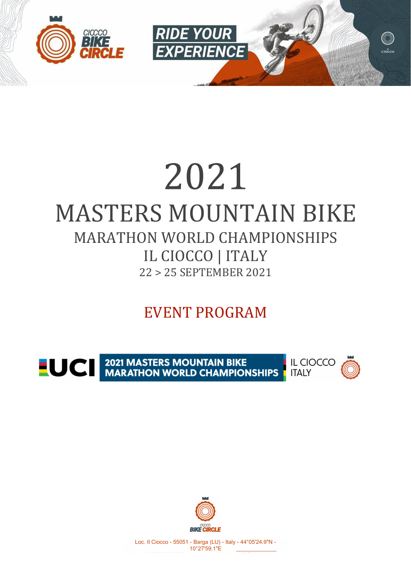

## 2021 MASTERS MOUNTAIN BIKE MARATHON WORLD CHAMPIONSHIPS IL CIOCCO | ITALY 22 > 25 SEPTEMBER 2021

## EVENT PROGRAM

**EUCE 2021 MASTERS MOUNTAIN BIKE<br>MARATHON WORLD CHAMPIONSHIPS** 





Loc. Il Ciocco - 55051 - Barga (LU) - Italy - 44°05'24.9"N - 10°27'59.1"E